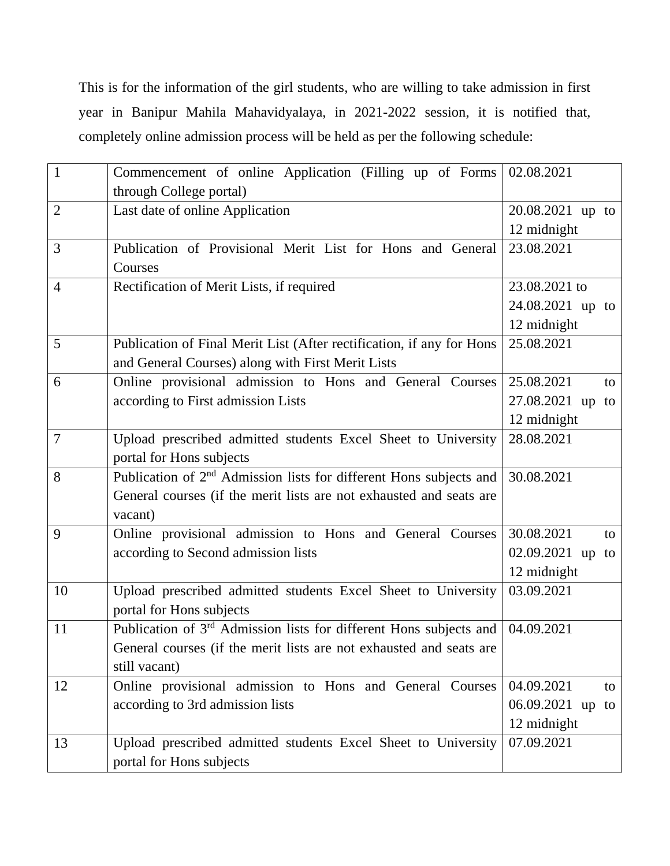This is for the information of the girl students, who are willing to take admission in first year in Banipur Mahila Mahavidyalaya, in 2021-2022 session, it is notified that, completely online admission process will be held as per the following schedule:

| $\mathbf{1}$   | Commencement of online Application (Filling up of Forms                        | 02.08.2021       |
|----------------|--------------------------------------------------------------------------------|------------------|
|                | through College portal)                                                        |                  |
| $\overline{2}$ | Last date of online Application                                                | 20.08.2021 up to |
|                |                                                                                | 12 midnight      |
| 3              | Publication of Provisional Merit List for Hons and General                     | 23.08.2021       |
|                | Courses                                                                        |                  |
| $\overline{4}$ | Rectification of Merit Lists, if required                                      | 23.08.2021 to    |
|                |                                                                                | 24.08.2021 up to |
|                |                                                                                | 12 midnight      |
| 5              | Publication of Final Merit List (After rectification, if any for Hons          | 25.08.2021       |
|                | and General Courses) along with First Merit Lists                              |                  |
| 6              | Online provisional admission to Hons and General Courses                       | 25.08.2021<br>to |
|                | according to First admission Lists                                             | 27.08.2021 up to |
|                |                                                                                | 12 midnight      |
| $\overline{7}$ | Upload prescribed admitted students Excel Sheet to University                  | 28.08.2021       |
|                | portal for Hons subjects                                                       |                  |
| 8              | Publication of 2 <sup>nd</sup> Admission lists for different Hons subjects and | 30.08.2021       |
|                | General courses (if the merit lists are not exhausted and seats are            |                  |
|                | vacant)                                                                        |                  |
| 9              | Online provisional admission to Hons and General Courses                       | 30.08.2021<br>to |
|                | according to Second admission lists                                            | 02.09.2021 up to |
|                |                                                                                | 12 midnight      |
| 10             | Upload prescribed admitted students Excel Sheet to University                  | 03.09.2021       |
|                | portal for Hons subjects                                                       |                  |
| 11             | Publication of 3rd Admission lists for different Hons subjects and             | 04.09.2021       |
|                | General courses (if the merit lists are not exhausted and seats are            |                  |
|                | still vacant)                                                                  |                  |
| 12             | Online provisional admission to Hons and General Courses                       | 04.09.2021<br>to |
|                | according to 3rd admission lists                                               | 06.09.2021 up to |
|                |                                                                                | 12 midnight      |
| 13             | Upload prescribed admitted students Excel Sheet to University                  | 07.09.2021       |
|                | portal for Hons subjects                                                       |                  |
|                |                                                                                |                  |